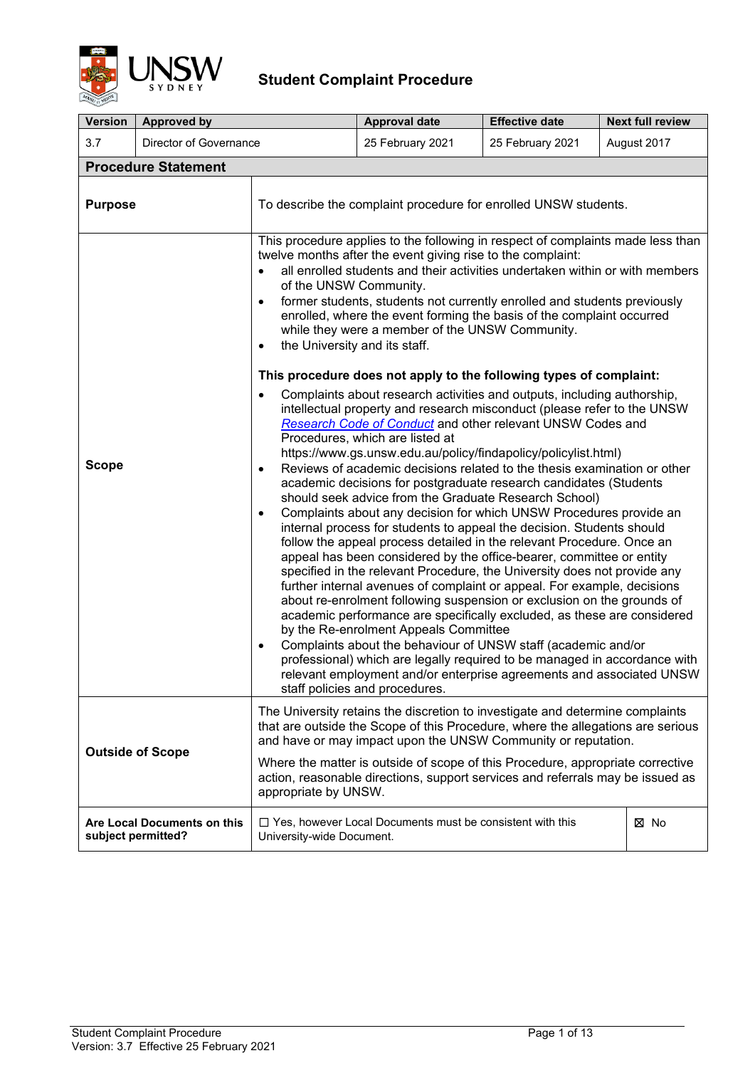

| <b>Version</b>                                    | <b>Approved by</b>         |                                                                                                                                                                                                                                                                                                                                                                                                                                                                                                                                                                                                                                                                                                                                                                                                                                                                                                                                                                                                                                                                                                                                                                                                                                                                                                                                                                                                                                                                                                                                                                                                                                                                                                                                                                                                                                                                                                                                                                                             | <b>Approval date</b>                                             | <b>Effective date</b> | <b>Next full review</b> |  |
|---------------------------------------------------|----------------------------|---------------------------------------------------------------------------------------------------------------------------------------------------------------------------------------------------------------------------------------------------------------------------------------------------------------------------------------------------------------------------------------------------------------------------------------------------------------------------------------------------------------------------------------------------------------------------------------------------------------------------------------------------------------------------------------------------------------------------------------------------------------------------------------------------------------------------------------------------------------------------------------------------------------------------------------------------------------------------------------------------------------------------------------------------------------------------------------------------------------------------------------------------------------------------------------------------------------------------------------------------------------------------------------------------------------------------------------------------------------------------------------------------------------------------------------------------------------------------------------------------------------------------------------------------------------------------------------------------------------------------------------------------------------------------------------------------------------------------------------------------------------------------------------------------------------------------------------------------------------------------------------------------------------------------------------------------------------------------------------------|------------------------------------------------------------------|-----------------------|-------------------------|--|
| 3.7                                               | Director of Governance     |                                                                                                                                                                                                                                                                                                                                                                                                                                                                                                                                                                                                                                                                                                                                                                                                                                                                                                                                                                                                                                                                                                                                                                                                                                                                                                                                                                                                                                                                                                                                                                                                                                                                                                                                                                                                                                                                                                                                                                                             | 25 February 2021                                                 | 25 February 2021      | August 2017             |  |
|                                                   | <b>Procedure Statement</b> |                                                                                                                                                                                                                                                                                                                                                                                                                                                                                                                                                                                                                                                                                                                                                                                                                                                                                                                                                                                                                                                                                                                                                                                                                                                                                                                                                                                                                                                                                                                                                                                                                                                                                                                                                                                                                                                                                                                                                                                             |                                                                  |                       |                         |  |
| <b>Purpose</b>                                    |                            | To describe the complaint procedure for enrolled UNSW students.                                                                                                                                                                                                                                                                                                                                                                                                                                                                                                                                                                                                                                                                                                                                                                                                                                                                                                                                                                                                                                                                                                                                                                                                                                                                                                                                                                                                                                                                                                                                                                                                                                                                                                                                                                                                                                                                                                                             |                                                                  |                       |                         |  |
| <b>Scope</b>                                      |                            | This procedure applies to the following in respect of complaints made less than<br>twelve months after the event giving rise to the complaint:<br>all enrolled students and their activities undertaken within or with members<br>$\bullet$<br>of the UNSW Community.<br>former students, students not currently enrolled and students previously<br>$\bullet$<br>enrolled, where the event forming the basis of the complaint occurred<br>while they were a member of the UNSW Community.<br>the University and its staff.<br>$\bullet$<br>This procedure does not apply to the following types of complaint:<br>Complaints about research activities and outputs, including authorship,<br>$\bullet$<br>intellectual property and research misconduct (please refer to the UNSW<br>Research Code of Conduct and other relevant UNSW Codes and<br>Procedures, which are listed at<br>https://www.gs.unsw.edu.au/policy/findapolicy/policylist.html)<br>Reviews of academic decisions related to the thesis examination or other<br>$\bullet$<br>academic decisions for postgraduate research candidates (Students<br>should seek advice from the Graduate Research School)<br>Complaints about any decision for which UNSW Procedures provide an<br>$\bullet$<br>internal process for students to appeal the decision. Students should<br>follow the appeal process detailed in the relevant Procedure. Once an<br>appeal has been considered by the office-bearer, committee or entity<br>specified in the relevant Procedure, the University does not provide any<br>further internal avenues of complaint or appeal. For example, decisions<br>about re-enrolment following suspension or exclusion on the grounds of<br>academic performance are specifically excluded, as these are considered<br>by the Re-enrolment Appeals Committee<br>Complaints about the behaviour of UNSW staff (academic and/or<br>professional) which are legally required to be managed in accordance with |                                                                  |                       |                         |  |
|                                                   | <b>Outside of Scope</b>    | The University retains the discretion to investigate and determine complaints<br>that are outside the Scope of this Procedure, where the allegations are serious<br>and have or may impact upon the UNSW Community or reputation.<br>Where the matter is outside of scope of this Procedure, appropriate corrective<br>action, reasonable directions, support services and referrals may be issued as<br>appropriate by UNSW.                                                                                                                                                                                                                                                                                                                                                                                                                                                                                                                                                                                                                                                                                                                                                                                                                                                                                                                                                                                                                                                                                                                                                                                                                                                                                                                                                                                                                                                                                                                                                               |                                                                  |                       |                         |  |
| Are Local Documents on this<br>subject permitted? |                            | University-wide Document.                                                                                                                                                                                                                                                                                                                                                                                                                                                                                                                                                                                                                                                                                                                                                                                                                                                                                                                                                                                                                                                                                                                                                                                                                                                                                                                                                                                                                                                                                                                                                                                                                                                                                                                                                                                                                                                                                                                                                                   | $\Box$ Yes, however Local Documents must be consistent with this |                       | ⊠ No                    |  |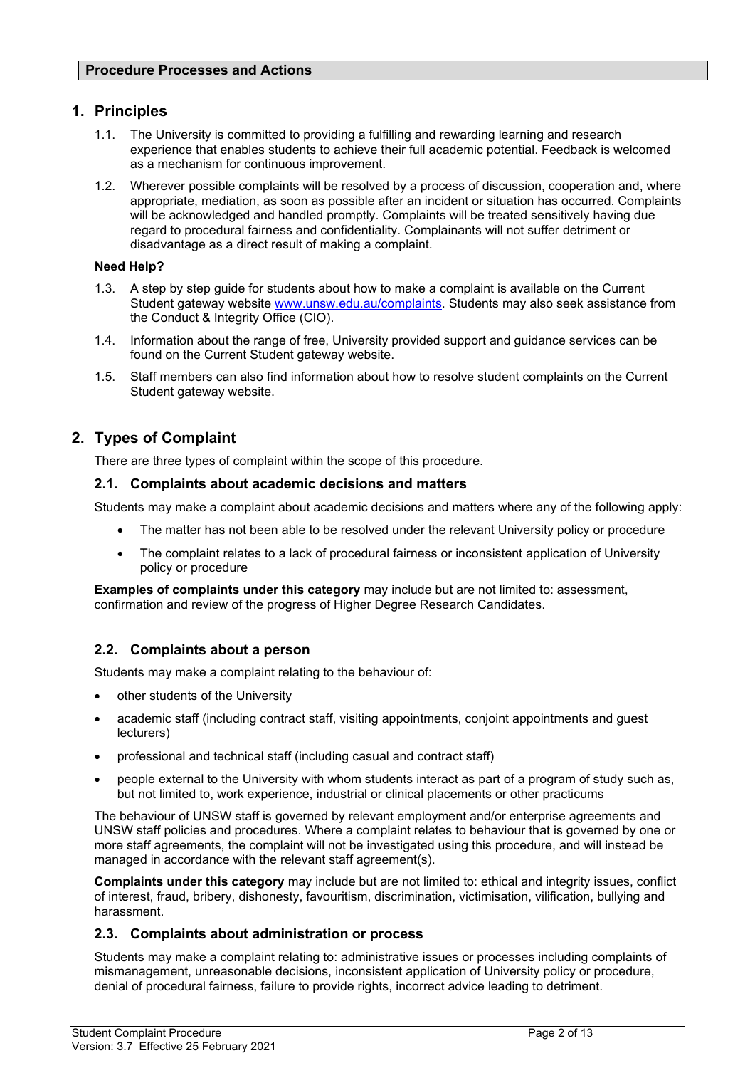## **1. Principles**

- 1.1. The University is committed to providing a fulfilling and rewarding learning and research experience that enables students to achieve their full academic potential. Feedback is welcomed as a mechanism for continuous improvement.
- 1.2. Wherever possible complaints will be resolved by a process of discussion, cooperation and, where appropriate, mediation, as soon as possible after an incident or situation has occurred. Complaints will be acknowledged and handled promptly. Complaints will be treated sensitively having due regard to procedural fairness and confidentiality. Complainants will not suffer detriment or disadvantage as a direct result of making a complaint.

### **Need Help?**

- 1.3. A step by step guide for students about how to make a complaint is available on the Current Student gateway website [www.unsw.edu.au/complaints.](http://www.unsw.edu.au/complaints) Students may also seek assistance from the Conduct & Integrity Office (CIO).
- 1.4. Information about the range of free, University provided support and guidance services can be found on the Current Student gateway website.
- 1.5. Staff members can also find information about how to resolve student complaints on the Current Student gateway website.

# **2. Types of Complaint**

There are three types of complaint within the scope of this procedure.

### **2.1. Complaints about academic decisions and matters**

Students may make a complaint about academic decisions and matters where any of the following apply:

- The matter has not been able to be resolved under the relevant University policy or procedure
- The complaint relates to a lack of procedural fairness or inconsistent application of University policy or procedure

**Examples of complaints under this category** may include but are not limited to: assessment, confirmation and review of the progress of Higher Degree Research Candidates.

## **2.2. Complaints about a person**

Students may make a complaint relating to the behaviour of:

- other students of the University
- academic staff (including contract staff, visiting appointments, conjoint appointments and guest lecturers)
- professional and technical staff (including casual and contract staff)
- people external to the University with whom students interact as part of a program of study such as, but not limited to, work experience, industrial or clinical placements or other practicums

The behaviour of UNSW staff is governed by relevant employment and/or enterprise agreements and UNSW staff policies and procedures. Where a complaint relates to behaviour that is governed by one or more staff agreements, the complaint will not be investigated using this procedure, and will instead be managed in accordance with the relevant staff agreement(s).

**Complaints under this category** may include but are not limited to: ethical and integrity issues, conflict of interest, fraud, bribery, dishonesty, favouritism, discrimination, victimisation, vilification, bullying and harassment.

### **2.3. Complaints about administration or process**

Students may make a complaint relating to: administrative issues or processes including complaints of mismanagement, unreasonable decisions, inconsistent application of University policy or procedure, denial of procedural fairness, failure to provide rights, incorrect advice leading to detriment.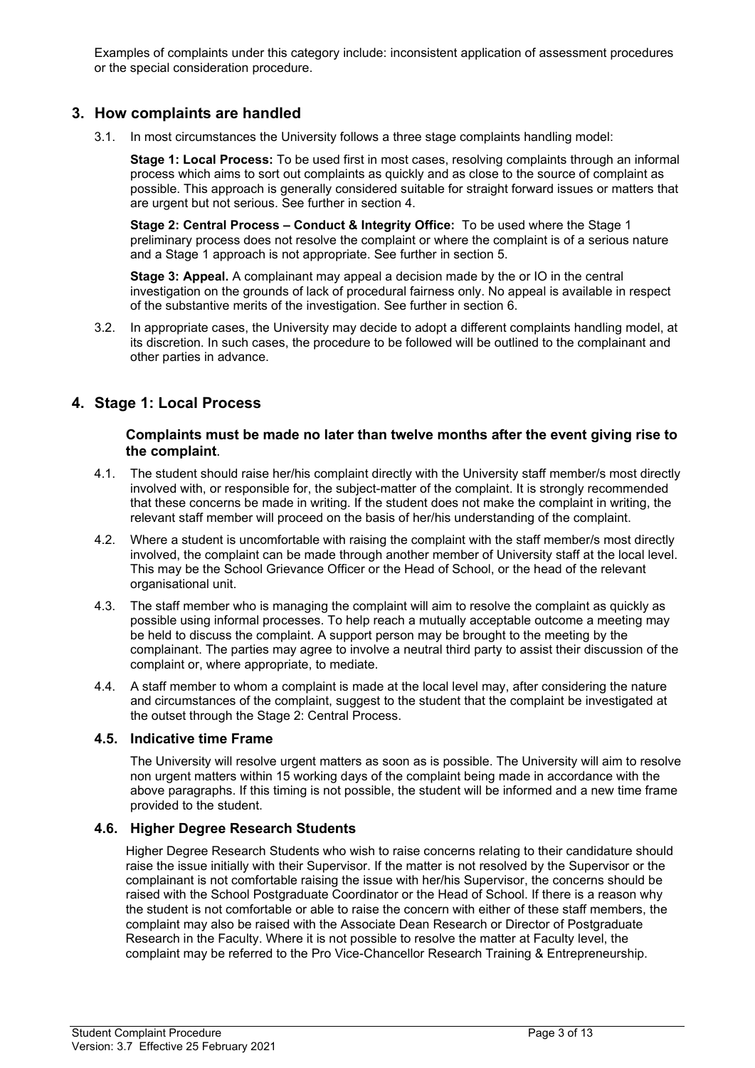Examples of complaints under this category include: inconsistent application of assessment procedures or the special consideration procedure.

## **3. How complaints are handled**

3.1. In most circumstances the University follows a three stage complaints handling model:

**Stage 1: Local Process:** To be used first in most cases, resolving complaints through an informal process which aims to sort out complaints as quickly and as close to the source of complaint as possible. This approach is generally considered suitable for straight forward issues or matters that are urgent but not serious. See further in section 4.

**Stage 2: Central Process – Conduct & Integrity Office:** To be used where the Stage 1 preliminary process does not resolve the complaint or where the complaint is of a serious nature and a Stage 1 approach is not appropriate. See further in section 5.

**Stage 3: Appeal.** A complainant may appeal a decision made by the or IO in the central investigation on the grounds of lack of procedural fairness only. No appeal is available in respect of the substantive merits of the investigation. See further in section 6.

3.2. In appropriate cases, the University may decide to adopt a different complaints handling model, at its discretion. In such cases, the procedure to be followed will be outlined to the complainant and other parties in advance.

## **4. Stage 1: Local Process**

#### **Complaints must be made no later than twelve months after the event giving rise to the complaint**.

- 4.1. The student should raise her/his complaint directly with the University staff member/s most directly involved with, or responsible for, the subject-matter of the complaint. It is strongly recommended that these concerns be made in writing. If the student does not make the complaint in writing, the relevant staff member will proceed on the basis of her/his understanding of the complaint.
- 4.2. Where a student is uncomfortable with raising the complaint with the staff member/s most directly involved, the complaint can be made through another member of University staff at the local level. This may be the School Grievance Officer or the Head of School, or the head of the relevant organisational unit.
- 4.3. The staff member who is managing the complaint will aim to resolve the complaint as quickly as possible using informal processes. To help reach a mutually acceptable outcome a meeting may be held to discuss the complaint. A support person may be brought to the meeting by the complainant. The parties may agree to involve a neutral third party to assist their discussion of the complaint or, where appropriate, to mediate.
- 4.4. A staff member to whom a complaint is made at the local level may, after considering the nature and circumstances of the complaint, suggest to the student that the complaint be investigated at the outset through the Stage 2: Central Process.

### **4.5. Indicative time Frame**

The University will resolve urgent matters as soon as is possible. The University will aim to resolve non urgent matters within 15 working days of the complaint being made in accordance with the above paragraphs. If this timing is not possible, the student will be informed and a new time frame provided to the student.

#### **4.6. Higher Degree Research Students**

Higher Degree Research Students who wish to raise concerns relating to their candidature should raise the issue initially with their Supervisor. If the matter is not resolved by the Supervisor or the complainant is not comfortable raising the issue with her/his Supervisor, the concerns should be raised with the School Postgraduate Coordinator or the Head of School. If there is a reason why the student is not comfortable or able to raise the concern with either of these staff members, the complaint may also be raised with the Associate Dean Research or Director of Postgraduate Research in the Faculty. Where it is not possible to resolve the matter at Faculty level, the complaint may be referred to the Pro Vice-Chancellor Research Training & Entrepreneurship.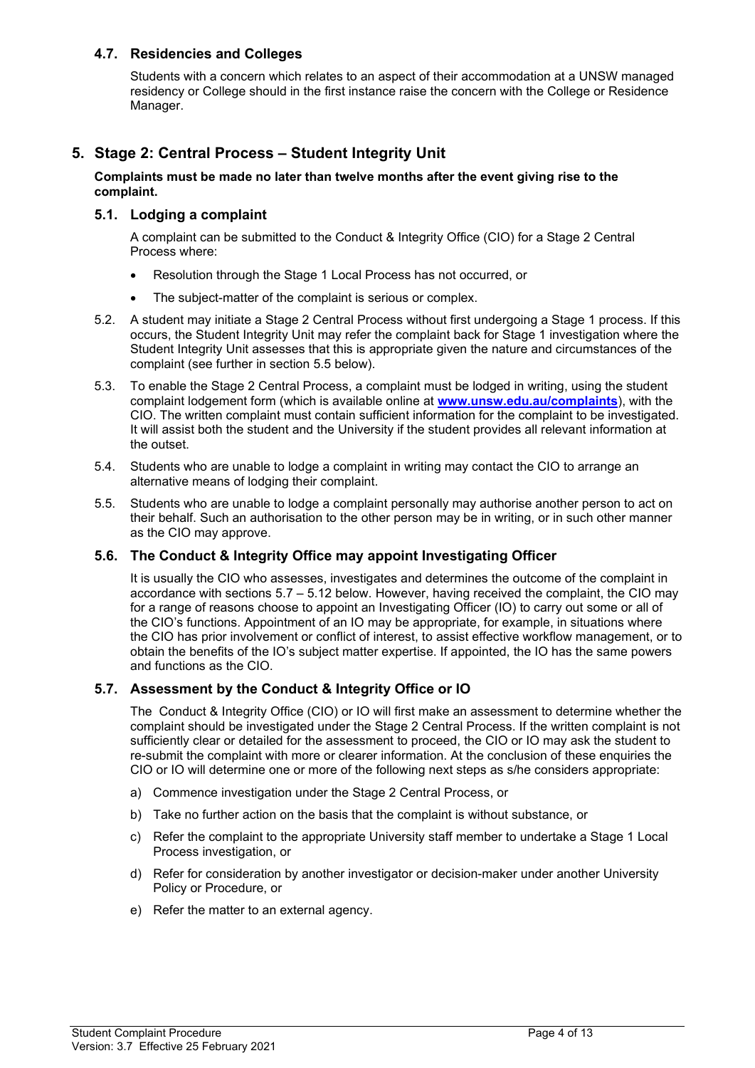## **4.7. Residencies and Colleges**

Students with a concern which relates to an aspect of their accommodation at a UNSW managed residency or College should in the first instance raise the concern with the College or Residence Manager.

## **5. Stage 2: Central Process – Student Integrity Unit**

#### **Complaints must be made no later than twelve months after the event giving rise to the complaint.**

### **5.1. Lodging a complaint**

A complaint can be submitted to the Conduct & Integrity Office (CIO) for a Stage 2 Central Process where:

- Resolution through the Stage 1 Local Process has not occurred, or
- The subject-matter of the complaint is serious or complex.
- 5.2. A student may initiate a Stage 2 Central Process without first undergoing a Stage 1 process. If this occurs, the Student Integrity Unit may refer the complaint back for Stage 1 investigation where the Student Integrity Unit assesses that this is appropriate given the nature and circumstances of the complaint (see further in section 5.5 below).
- 5.3. To enable the Stage 2 Central Process, a complaint must be lodged in writing, using the student complaint lodgement form (which is available online at **[www.unsw.edu.au/complaints](https://www.unsw.edu.au/complaints?)**), with the CIO. The written complaint must contain sufficient information for the complaint to be investigated. It will assist both the student and the University if the student provides all relevant information at the outset.
- 5.4. Students who are unable to lodge a complaint in writing may contact the CIO to arrange an alternative means of lodging their complaint.
- 5.5. Students who are unable to lodge a complaint personally may authorise another person to act on their behalf. Such an authorisation to the other person may be in writing, or in such other manner as the CIO may approve.

### **5.6. The Conduct & Integrity Office may appoint Investigating Officer**

It is usually the CIO who assesses, investigates and determines the outcome of the complaint in accordance with sections 5.7 – 5.12 below. However, having received the complaint, the CIO may for a range of reasons choose to appoint an Investigating Officer (IO) to carry out some or all of the CIO's functions. Appointment of an IO may be appropriate, for example, in situations where the CIO has prior involvement or conflict of interest, to assist effective workflow management, or to obtain the benefits of the IO's subject matter expertise. If appointed, the IO has the same powers and functions as the CIO.

#### **5.7. Assessment by the Conduct & Integrity Office or IO**

The Conduct & Integrity Office (CIO) or IO will first make an assessment to determine whether the complaint should be investigated under the Stage 2 Central Process. If the written complaint is not sufficiently clear or detailed for the assessment to proceed, the CIO or IO may ask the student to re-submit the complaint with more or clearer information. At the conclusion of these enquiries the CIO or IO will determine one or more of the following next steps as s/he considers appropriate:

- a) Commence investigation under the Stage 2 Central Process, or
- b) Take no further action on the basis that the complaint is without substance, or
- c) Refer the complaint to the appropriate University staff member to undertake a Stage 1 Local Process investigation, or
- d) Refer for consideration by another investigator or decision-maker under another University Policy or Procedure, or
- e) Refer the matter to an external agency.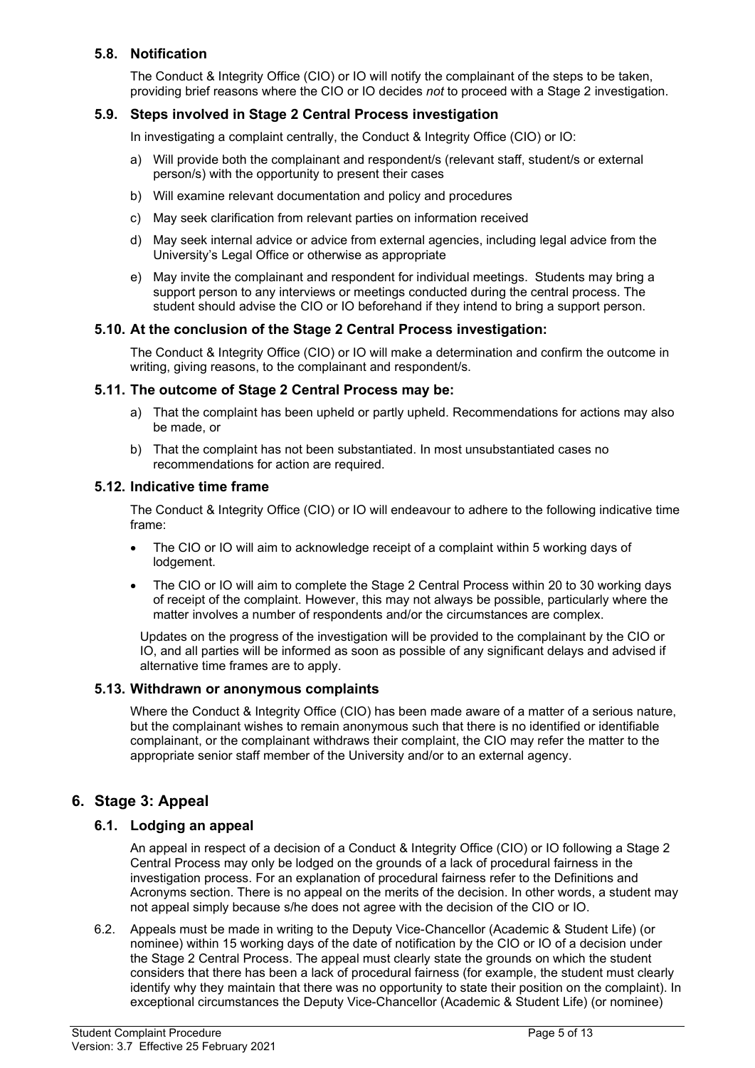## **5.8. Notification**

The Conduct & Integrity Office (CIO) or IO will notify the complainant of the steps to be taken, providing brief reasons where the CIO or IO decides *not* to proceed with a Stage 2 investigation.

### **5.9. Steps involved in Stage 2 Central Process investigation**

In investigating a complaint centrally, the Conduct & Integrity Office (CIO) or IO:

- a) Will provide both the complainant and respondent/s (relevant staff, student/s or external person/s) with the opportunity to present their cases
- b) Will examine relevant documentation and policy and procedures
- c) May seek clarification from relevant parties on information received
- d) May seek internal advice or advice from external agencies, including legal advice from the University's Legal Office or otherwise as appropriate
- e) May invite the complainant and respondent for individual meetings. Students may bring a support person to any interviews or meetings conducted during the central process. The student should advise the CIO or IO beforehand if they intend to bring a support person.

### **5.10. At the conclusion of the Stage 2 Central Process investigation:**

The Conduct & Integrity Office (CIO) or IO will make a determination and confirm the outcome in writing, giving reasons, to the complainant and respondent/s.

### **5.11. The outcome of Stage 2 Central Process may be:**

- a) That the complaint has been upheld or partly upheld. Recommendations for actions may also be made, or
- b) That the complaint has not been substantiated. In most unsubstantiated cases no recommendations for action are required.

#### **5.12. Indicative time frame**

The Conduct & Integrity Office (CIO) or IO will endeavour to adhere to the following indicative time frame:

- The CIO or IO will aim to acknowledge receipt of a complaint within 5 working days of lodgement.
- The CIO or IO will aim to complete the Stage 2 Central Process within 20 to 30 working days of receipt of the complaint. However, this may not always be possible, particularly where the matter involves a number of respondents and/or the circumstances are complex.

Updates on the progress of the investigation will be provided to the complainant by the CIO or IO, and all parties will be informed as soon as possible of any significant delays and advised if alternative time frames are to apply.

#### **5.13. Withdrawn or anonymous complaints**

Where the Conduct & Integrity Office (CIO) has been made aware of a matter of a serious nature, but the complainant wishes to remain anonymous such that there is no identified or identifiable complainant, or the complainant withdraws their complaint, the CIO may refer the matter to the appropriate senior staff member of the University and/or to an external agency.

## **6. Stage 3: Appeal**

### **6.1. Lodging an appeal**

An appeal in respect of a decision of a Conduct & Integrity Office (CIO) or IO following a Stage 2 Central Process may only be lodged on the grounds of a lack of procedural fairness in the investigation process. For an explanation of procedural fairness refer to the Definitions and Acronyms section. There is no appeal on the merits of the decision. In other words, a student may not appeal simply because s/he does not agree with the decision of the CIO or IO.

6.2. Appeals must be made in writing to the Deputy Vice-Chancellor (Academic & Student Life) (or nominee) within 15 working days of the date of notification by the CIO or IO of a decision under the Stage 2 Central Process. The appeal must clearly state the grounds on which the student considers that there has been a lack of procedural fairness (for example, the student must clearly identify why they maintain that there was no opportunity to state their position on the complaint). In exceptional circumstances the Deputy Vice-Chancellor (Academic & Student Life) (or nominee)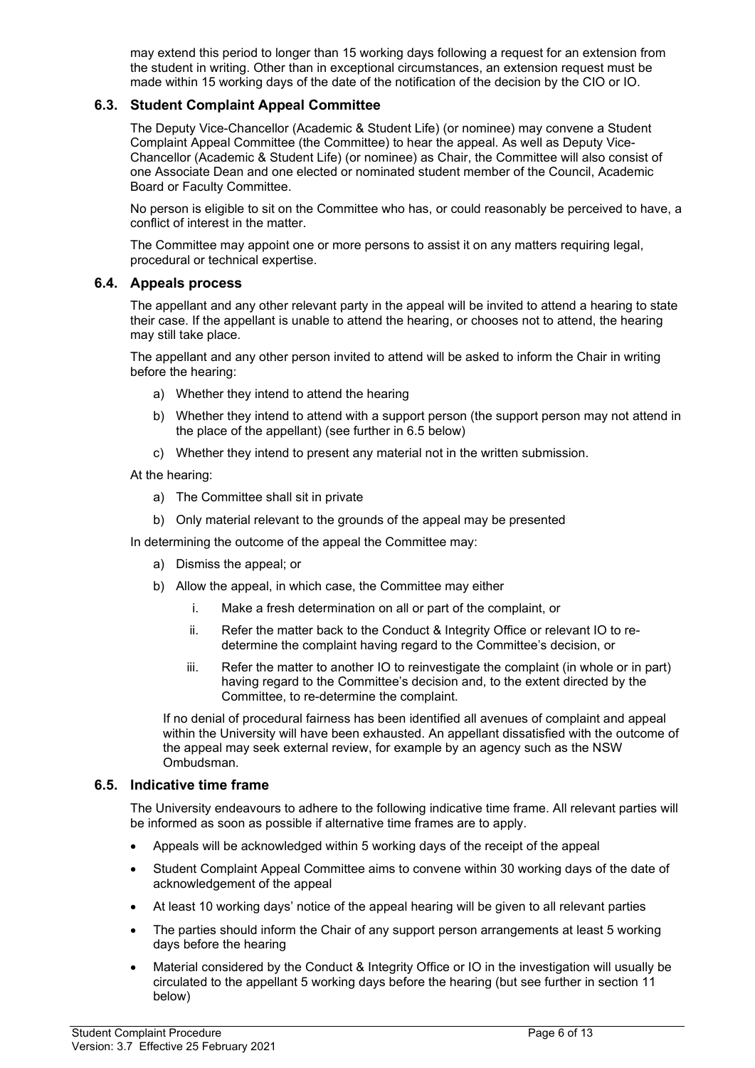may extend this period to longer than 15 working days following a request for an extension from the student in writing. Other than in exceptional circumstances, an extension request must be made within 15 working days of the date of the notification of the decision by the CIO or IO.

### **6.3. Student Complaint Appeal Committee**

The Deputy Vice-Chancellor (Academic & Student Life) (or nominee) may convene a Student Complaint Appeal Committee (the Committee) to hear the appeal. As well as Deputy Vice-Chancellor (Academic & Student Life) (or nominee) as Chair, the Committee will also consist of one Associate Dean and one elected or nominated student member of the Council, Academic Board or Faculty Committee.

No person is eligible to sit on the Committee who has, or could reasonably be perceived to have, a conflict of interest in the matter.

The Committee may appoint one or more persons to assist it on any matters requiring legal, procedural or technical expertise.

#### **6.4. Appeals process**

The appellant and any other relevant party in the appeal will be invited to attend a hearing to state their case. If the appellant is unable to attend the hearing, or chooses not to attend, the hearing may still take place.

The appellant and any other person invited to attend will be asked to inform the Chair in writing before the hearing:

- a) Whether they intend to attend the hearing
- b) Whether they intend to attend with a support person (the support person may not attend in the place of the appellant) (see further in 6.5 below)
- c) Whether they intend to present any material not in the written submission.

At the hearing:

- a) The Committee shall sit in private
- b) Only material relevant to the grounds of the appeal may be presented

In determining the outcome of the appeal the Committee may:

- a) Dismiss the appeal; or
- b) Allow the appeal, in which case, the Committee may either
	- i. Make a fresh determination on all or part of the complaint, or
	- ii. Refer the matter back to the Conduct & Integrity Office or relevant IO to redetermine the complaint having regard to the Committee's decision, or
	- iii. Refer the matter to another IO to reinvestigate the complaint (in whole or in part) having regard to the Committee's decision and, to the extent directed by the Committee, to re-determine the complaint.

If no denial of procedural fairness has been identified all avenues of complaint and appeal within the University will have been exhausted. An appellant dissatisfied with the outcome of the appeal may seek external review, for example by an agency such as the NSW Ombudsman.

#### **6.5. Indicative time frame**

The University endeavours to adhere to the following indicative time frame. All relevant parties will be informed as soon as possible if alternative time frames are to apply.

- Appeals will be acknowledged within 5 working days of the receipt of the appeal
- Student Complaint Appeal Committee aims to convene within 30 working days of the date of acknowledgement of the appeal
- At least 10 working days' notice of the appeal hearing will be given to all relevant parties
- The parties should inform the Chair of any support person arrangements at least 5 working days before the hearing
- Material considered by the Conduct & Integrity Office or IO in the investigation will usually be circulated to the appellant 5 working days before the hearing (but see further in section 11 below)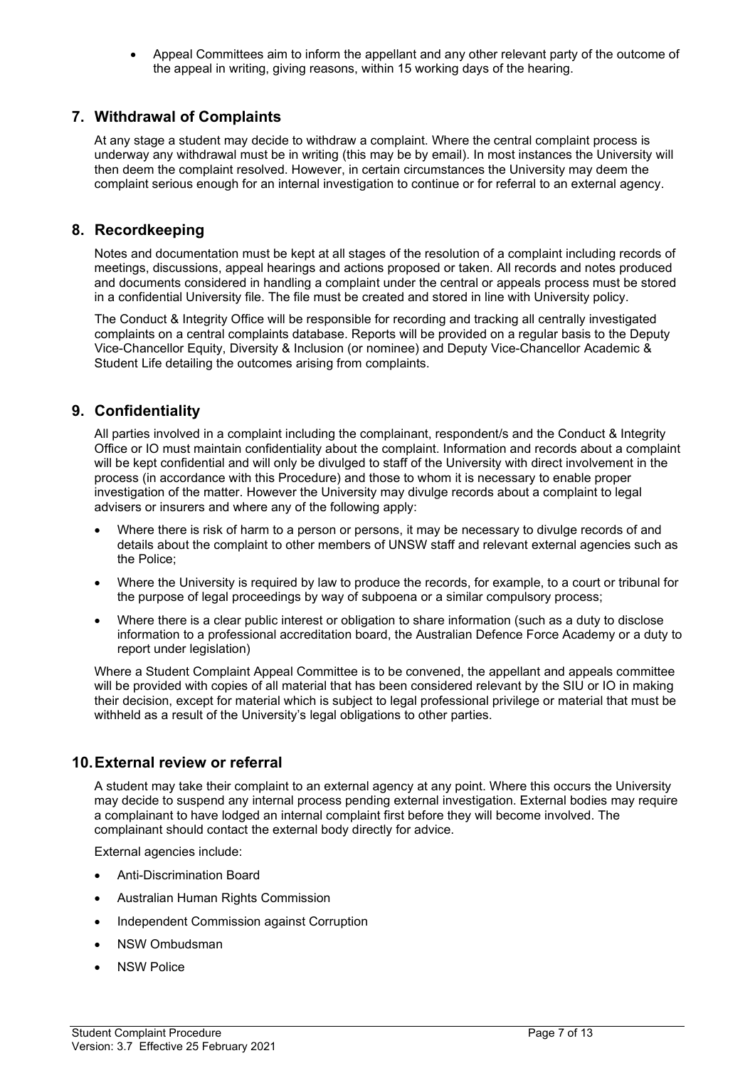• Appeal Committees aim to inform the appellant and any other relevant party of the outcome of the appeal in writing, giving reasons, within 15 working days of the hearing.

## **7. Withdrawal of Complaints**

At any stage a student may decide to withdraw a complaint. Where the central complaint process is underway any withdrawal must be in writing (this may be by email). In most instances the University will then deem the complaint resolved. However, in certain circumstances the University may deem the complaint serious enough for an internal investigation to continue or for referral to an external agency.

### **8. Recordkeeping**

Notes and documentation must be kept at all stages of the resolution of a complaint including records of meetings, discussions, appeal hearings and actions proposed or taken. All records and notes produced and documents considered in handling a complaint under the central or appeals process must be stored in a confidential University file. The file must be created and stored in line with University policy.

The Conduct & Integrity Office will be responsible for recording and tracking all centrally investigated complaints on a central complaints database. Reports will be provided on a regular basis to the Deputy Vice-Chancellor Equity, Diversity & Inclusion (or nominee) and Deputy Vice-Chancellor Academic & Student Life detailing the outcomes arising from complaints.

## **9. Confidentiality**

All parties involved in a complaint including the complainant, respondent/s and the Conduct & Integrity Office or IO must maintain confidentiality about the complaint. Information and records about a complaint will be kept confidential and will only be divulged to staff of the University with direct involvement in the process (in accordance with this Procedure) and those to whom it is necessary to enable proper investigation of the matter. However the University may divulge records about a complaint to legal advisers or insurers and where any of the following apply:

- Where there is risk of harm to a person or persons, it may be necessary to divulge records of and details about the complaint to other members of UNSW staff and relevant external agencies such as the Police;
- Where the University is required by law to produce the records, for example, to a court or tribunal for the purpose of legal proceedings by way of subpoena or a similar compulsory process;
- Where there is a clear public interest or obligation to share information (such as a duty to disclose information to a professional accreditation board, the Australian Defence Force Academy or a duty to report under legislation)

Where a Student Complaint Appeal Committee is to be convened, the appellant and appeals committee will be provided with copies of all material that has been considered relevant by the SIU or IO in making their decision, except for material which is subject to legal professional privilege or material that must be withheld as a result of the University's legal obligations to other parties.

## **10.External review or referral**

A student may take their complaint to an external agency at any point. Where this occurs the University may decide to suspend any internal process pending external investigation. External bodies may require a complainant to have lodged an internal complaint first before they will become involved. The complainant should contact the external body directly for advice.

External agencies include:

- Anti-Discrimination Board
- Australian Human Rights Commission
- Independent Commission against Corruption
- NSW Ombudsman
- **NSW Police**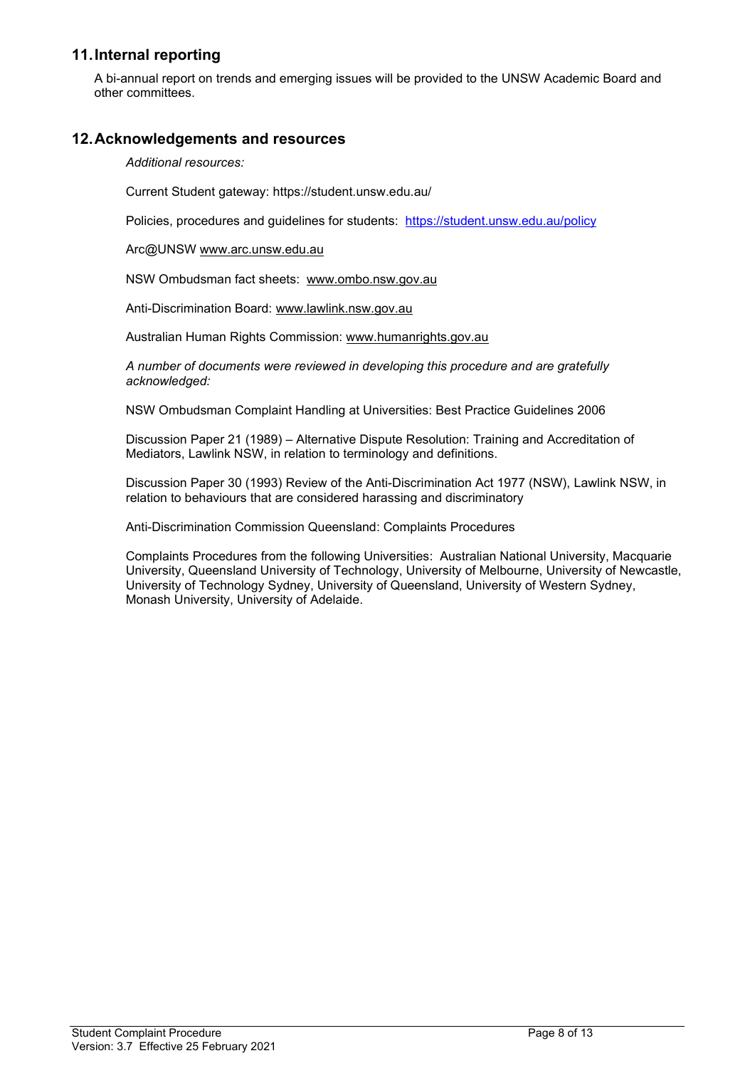## **11.Internal reporting**

A bi-annual report on trends and emerging issues will be provided to the UNSW Academic Board and other committees.

### **12.Acknowledgements and resources**

*Additional resources:*

Current Student gateway: https://student.unsw.edu.au/

Policies, procedures and guidelines for students: <https://student.unsw.edu.au/policy>

Arc@UNSW [www.arc.unsw.edu.au](http://www.arc.unsw.edu.au/)

NSW Ombudsman fact sheets: [www.ombo.nsw.gov.au](http://www.ombo.nsw.gov.au/)

Anti-Discrimination Board: [www.lawlink.nsw.gov.au](http://www.lawlink.nsw.gov.au/)

Australian Human Rights Commission: [www.humanrights.gov.au](http://www.humanrights.gov.au/)

*A number of documents were reviewed in developing this procedure and are gratefully acknowledged:*

NSW Ombudsman Complaint Handling at Universities: Best Practice Guidelines 2006

Discussion Paper 21 (1989) – Alternative Dispute Resolution: Training and Accreditation of Mediators, Lawlink NSW, in relation to terminology and definitions.

Discussion Paper 30 (1993) Review of the Anti-Discrimination Act 1977 (NSW), Lawlink NSW, in relation to behaviours that are considered harassing and discriminatory

Anti-Discrimination Commission Queensland: Complaints Procedures

Complaints Procedures from the following Universities: Australian National University, Macquarie University, Queensland University of Technology, University of Melbourne, University of Newcastle, University of Technology Sydney, University of Queensland, University of Western Sydney, Monash University, University of Adelaide.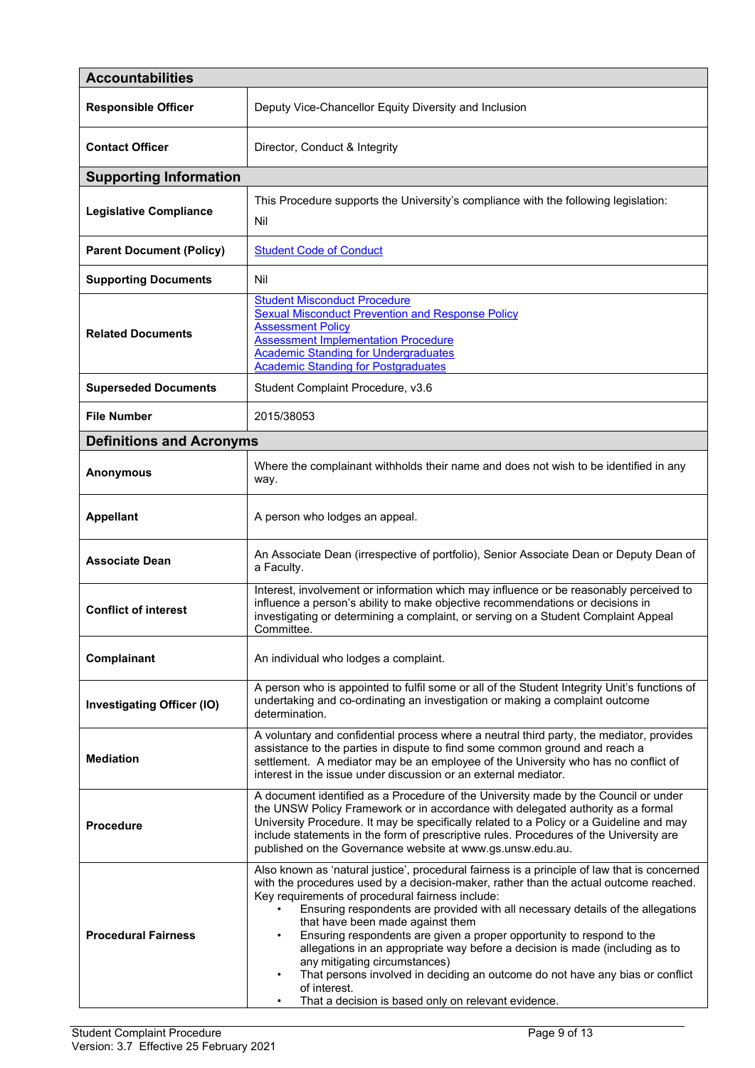| <b>Accountabilities</b>                                           |                                                                                                                                                                                                                                                                                                                                                                                                                                                                                                                                                                                                                                                                                                                    |  |  |
|-------------------------------------------------------------------|--------------------------------------------------------------------------------------------------------------------------------------------------------------------------------------------------------------------------------------------------------------------------------------------------------------------------------------------------------------------------------------------------------------------------------------------------------------------------------------------------------------------------------------------------------------------------------------------------------------------------------------------------------------------------------------------------------------------|--|--|
| <b>Responsible Officer</b>                                        | Deputy Vice-Chancellor Equity Diversity and Inclusion                                                                                                                                                                                                                                                                                                                                                                                                                                                                                                                                                                                                                                                              |  |  |
| <b>Contact Officer</b>                                            | Director, Conduct & Integrity                                                                                                                                                                                                                                                                                                                                                                                                                                                                                                                                                                                                                                                                                      |  |  |
| <b>Supporting Information</b>                                     |                                                                                                                                                                                                                                                                                                                                                                                                                                                                                                                                                                                                                                                                                                                    |  |  |
| <b>Legislative Compliance</b>                                     | This Procedure supports the University's compliance with the following legislation:<br>Nil                                                                                                                                                                                                                                                                                                                                                                                                                                                                                                                                                                                                                         |  |  |
| <b>Parent Document (Policy)</b><br><b>Student Code of Conduct</b> |                                                                                                                                                                                                                                                                                                                                                                                                                                                                                                                                                                                                                                                                                                                    |  |  |
| <b>Supporting Documents</b>                                       | Nil                                                                                                                                                                                                                                                                                                                                                                                                                                                                                                                                                                                                                                                                                                                |  |  |
| <b>Related Documents</b>                                          | <b>Student Misconduct Procedure</b><br><b>Sexual Misconduct Prevention and Response Policy</b><br><b>Assessment Policy</b><br><b>Assessment Implementation Procedure</b><br>Academic Standing for Undergraduates<br><b>Academic Standing for Postgraduates</b>                                                                                                                                                                                                                                                                                                                                                                                                                                                     |  |  |
| <b>Superseded Documents</b>                                       | Student Complaint Procedure, v3.6                                                                                                                                                                                                                                                                                                                                                                                                                                                                                                                                                                                                                                                                                  |  |  |
| <b>File Number</b>                                                | 2015/38053                                                                                                                                                                                                                                                                                                                                                                                                                                                                                                                                                                                                                                                                                                         |  |  |
| <b>Definitions and Acronyms</b>                                   |                                                                                                                                                                                                                                                                                                                                                                                                                                                                                                                                                                                                                                                                                                                    |  |  |
| <b>Anonymous</b>                                                  | Where the complainant withholds their name and does not wish to be identified in any<br>way.                                                                                                                                                                                                                                                                                                                                                                                                                                                                                                                                                                                                                       |  |  |
| <b>Appellant</b>                                                  | A person who lodges an appeal.                                                                                                                                                                                                                                                                                                                                                                                                                                                                                                                                                                                                                                                                                     |  |  |
| <b>Associate Dean</b>                                             | An Associate Dean (irrespective of portfolio), Senior Associate Dean or Deputy Dean of<br>a Faculty.                                                                                                                                                                                                                                                                                                                                                                                                                                                                                                                                                                                                               |  |  |
| <b>Conflict of interest</b>                                       | Interest, involvement or information which may influence or be reasonably perceived to<br>influence a person's ability to make objective recommendations or decisions in<br>investigating or determining a complaint, or serving on a Student Complaint Appeal<br>Committee.                                                                                                                                                                                                                                                                                                                                                                                                                                       |  |  |
| Complainant                                                       | An individual who lodges a complaint.                                                                                                                                                                                                                                                                                                                                                                                                                                                                                                                                                                                                                                                                              |  |  |
| <b>Investigating Officer (IO)</b>                                 | A person who is appointed to fulfil some or all of the Student Integrity Unit's functions of<br>undertaking and co-ordinating an investigation or making a complaint outcome<br>determination.                                                                                                                                                                                                                                                                                                                                                                                                                                                                                                                     |  |  |
| <b>Mediation</b>                                                  | A voluntary and confidential process where a neutral third party, the mediator, provides<br>assistance to the parties in dispute to find some common ground and reach a<br>settlement. A mediator may be an employee of the University who has no conflict of<br>interest in the issue under discussion or an external mediator.                                                                                                                                                                                                                                                                                                                                                                                   |  |  |
| <b>Procedure</b>                                                  | A document identified as a Procedure of the University made by the Council or under<br>the UNSW Policy Framework or in accordance with delegated authority as a formal<br>University Procedure. It may be specifically related to a Policy or a Guideline and may<br>include statements in the form of prescriptive rules. Procedures of the University are<br>published on the Governance website at www.gs.unsw.edu.au.                                                                                                                                                                                                                                                                                          |  |  |
| <b>Procedural Fairness</b>                                        | Also known as 'natural justice', procedural fairness is a principle of law that is concerned<br>with the procedures used by a decision-maker, rather than the actual outcome reached.<br>Key requirements of procedural fairness include:<br>Ensuring respondents are provided with all necessary details of the allegations<br>that have been made against them<br>Ensuring respondents are given a proper opportunity to respond to the<br>allegations in an appropriate way before a decision is made (including as to<br>any mitigating circumstances)<br>That persons involved in deciding an outcome do not have any bias or conflict<br>of interest.<br>That a decision is based only on relevant evidence. |  |  |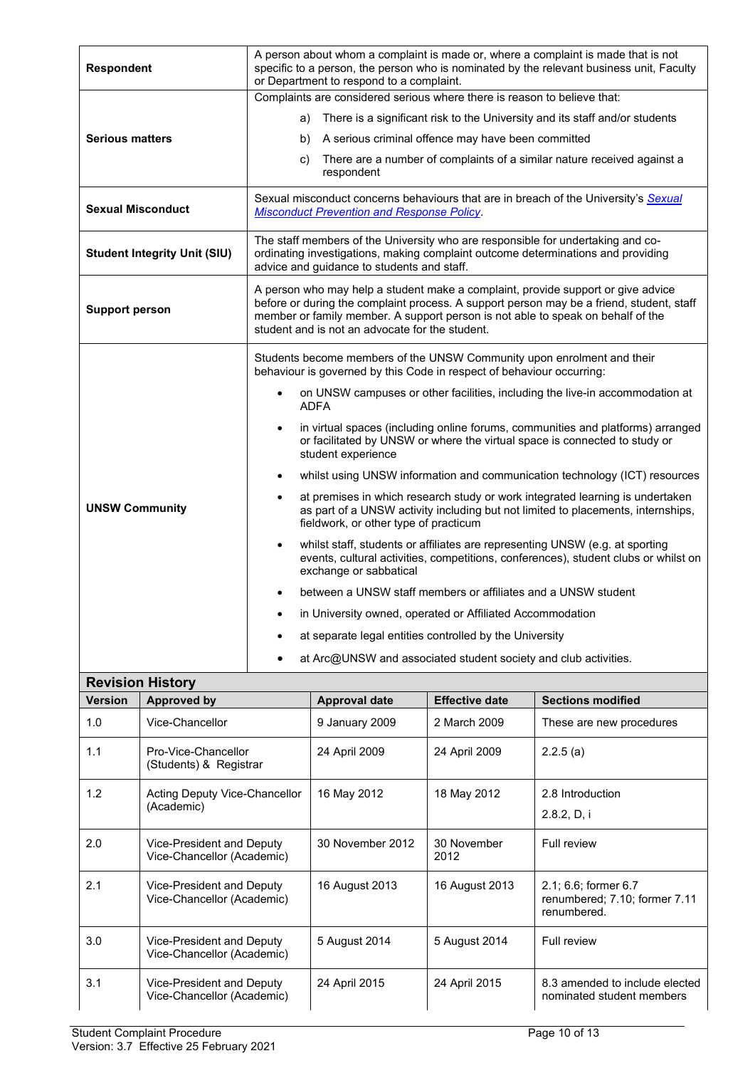| <b>Respondent</b>                   | A person about whom a complaint is made or, where a complaint is made that is not<br>specific to a person, the person who is nominated by the relevant business unit, Faculty<br>or Department to respond to a complaint.                                                                                          |  |  |  |
|-------------------------------------|--------------------------------------------------------------------------------------------------------------------------------------------------------------------------------------------------------------------------------------------------------------------------------------------------------------------|--|--|--|
|                                     | Complaints are considered serious where there is reason to believe that:                                                                                                                                                                                                                                           |  |  |  |
|                                     | There is a significant risk to the University and its staff and/or students<br>a)                                                                                                                                                                                                                                  |  |  |  |
| <b>Serious matters</b>              | b) A serious criminal offence may have been committed                                                                                                                                                                                                                                                              |  |  |  |
|                                     | There are a number of complaints of a similar nature received against a<br>C)<br>respondent                                                                                                                                                                                                                        |  |  |  |
| <b>Sexual Misconduct</b>            | Sexual misconduct concerns behaviours that are in breach of the University's Sexual<br><b>Misconduct Prevention and Response Policy.</b>                                                                                                                                                                           |  |  |  |
| <b>Student Integrity Unit (SIU)</b> | The staff members of the University who are responsible for undertaking and co-<br>ordinating investigations, making complaint outcome determinations and providing<br>advice and guidance to students and staff.                                                                                                  |  |  |  |
| <b>Support person</b>               | A person who may help a student make a complaint, provide support or give advice<br>before or during the complaint process. A support person may be a friend, student, staff<br>member or family member. A support person is not able to speak on behalf of the<br>student and is not an advocate for the student. |  |  |  |
|                                     | Students become members of the UNSW Community upon enrolment and their<br>behaviour is governed by this Code in respect of behaviour occurring:                                                                                                                                                                    |  |  |  |
|                                     | on UNSW campuses or other facilities, including the live-in accommodation at<br><b>ADFA</b>                                                                                                                                                                                                                        |  |  |  |
|                                     | in virtual spaces (including online forums, communities and platforms) arranged<br>$\bullet$<br>or facilitated by UNSW or where the virtual space is connected to study or<br>student experience                                                                                                                   |  |  |  |
|                                     | whilst using UNSW information and communication technology (ICT) resources<br>$\bullet$                                                                                                                                                                                                                            |  |  |  |
| <b>UNSW Community</b>               | at premises in which research study or work integrated learning is undertaken<br>$\bullet$<br>as part of a UNSW activity including but not limited to placements, internships,<br>fieldwork, or other type of practicum                                                                                            |  |  |  |
|                                     | whilst staff, students or affiliates are representing UNSW (e.g. at sporting<br>events, cultural activities, competitions, conferences), student clubs or whilst on<br>exchange or sabbatical                                                                                                                      |  |  |  |
|                                     | between a UNSW staff members or affiliates and a UNSW student<br>$\bullet$                                                                                                                                                                                                                                         |  |  |  |
|                                     | in University owned, operated or Affiliated Accommodation<br>$\bullet$                                                                                                                                                                                                                                             |  |  |  |
|                                     | at separate legal entities controlled by the University                                                                                                                                                                                                                                                            |  |  |  |
|                                     | at Arc@UNSW and associated student society and club activities.                                                                                                                                                                                                                                                    |  |  |  |
| <b>Revision History</b>             |                                                                                                                                                                                                                                                                                                                    |  |  |  |
|                                     | $\mathbf{r}$ and $\mathbf{r}$                                                                                                                                                                                                                                                                                      |  |  |  |

| <b>Version</b> | <b>Approved by</b>                                      | <b>Approval date</b> | <b>Effective date</b> | <b>Sections modified</b>                                             |
|----------------|---------------------------------------------------------|----------------------|-----------------------|----------------------------------------------------------------------|
| 1.0            | Vice-Chancellor                                         | 9 January 2009       | 2 March 2009          | These are new procedures                                             |
| 1.1            | Pro-Vice-Chancellor<br>(Students) & Registrar           | 24 April 2009        | 24 April 2009         | 2.2.5(a)                                                             |
| 1.2            | Acting Deputy Vice-Chancellor<br>(Academic)             | 16 May 2012          | 18 May 2012           | 2.8 Introduction<br>2.8.2, D, i                                      |
| 2.0            | Vice-President and Deputy<br>Vice-Chancellor (Academic) | 30 November 2012     | 30 November<br>2012   | Full review                                                          |
| 2.1            | Vice-President and Deputy<br>Vice-Chancellor (Academic) | 16 August 2013       | 16 August 2013        | 2.1; 6.6; former 6.7<br>renumbered; 7.10; former 7.11<br>renumbered. |
| 3.0            | Vice-President and Deputy<br>Vice-Chancellor (Academic) | 5 August 2014        | 5 August 2014         | <b>Full review</b>                                                   |
| 3.1            | Vice-President and Deputy<br>Vice-Chancellor (Academic) | 24 April 2015        | 24 April 2015         | 8.3 amended to include elected<br>nominated student members          |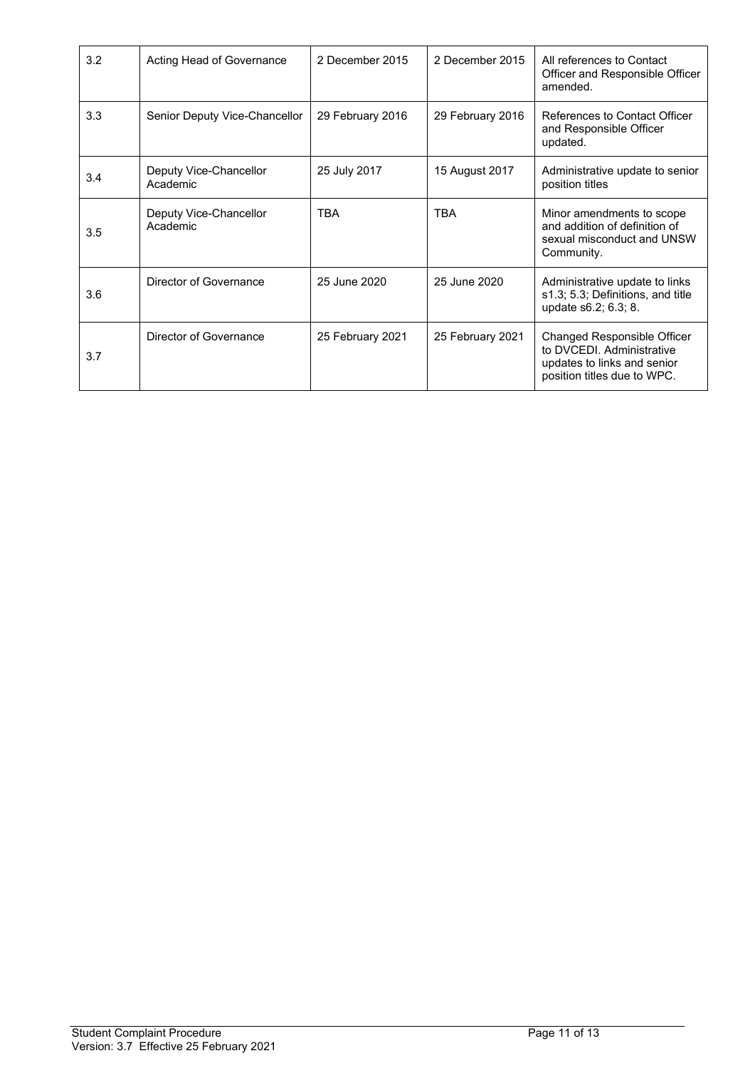| 3.2 | Acting Head of Governance          | 2 December 2015  | 2 December 2015  | All references to Contact<br>Officer and Responsible Officer<br>amended.                                               |
|-----|------------------------------------|------------------|------------------|------------------------------------------------------------------------------------------------------------------------|
| 3.3 | Senior Deputy Vice-Chancellor      | 29 February 2016 | 29 February 2016 | References to Contact Officer<br>and Responsible Officer<br>updated.                                                   |
| 3.4 | Deputy Vice-Chancellor<br>Academic | 25 July 2017     | 15 August 2017   | Administrative update to senior<br>position titles                                                                     |
| 3.5 | Deputy Vice-Chancellor<br>Academic | TBA              | <b>TBA</b>       | Minor amendments to scope<br>and addition of definition of<br>sexual misconduct and UNSW<br>Community.                 |
| 3.6 | Director of Governance             | 25 June 2020     | 25 June 2020     | Administrative update to links<br>s1.3; 5.3; Definitions, and title<br>update s6.2; 6.3; 8.                            |
| 3.7 | Director of Governance             | 25 February 2021 | 25 February 2021 | Changed Responsible Officer<br>to DVCEDI. Administrative<br>updates to links and senior<br>position titles due to WPC. |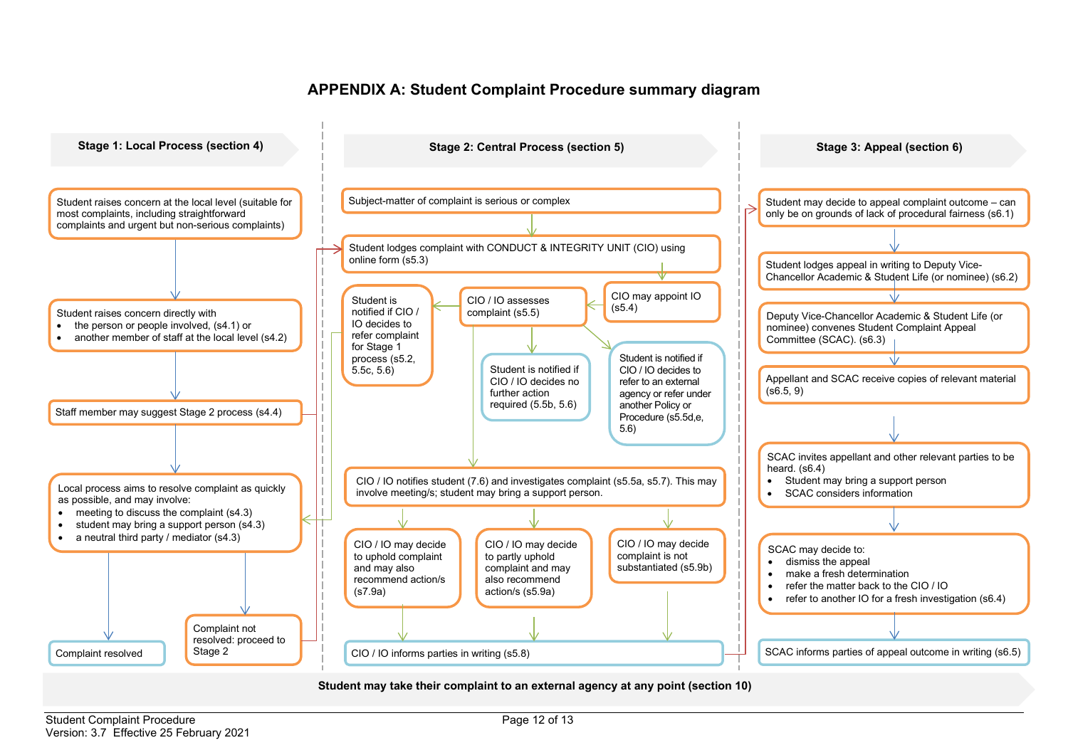# **APPENDIX A: Student Complaint Procedure summary diagram**